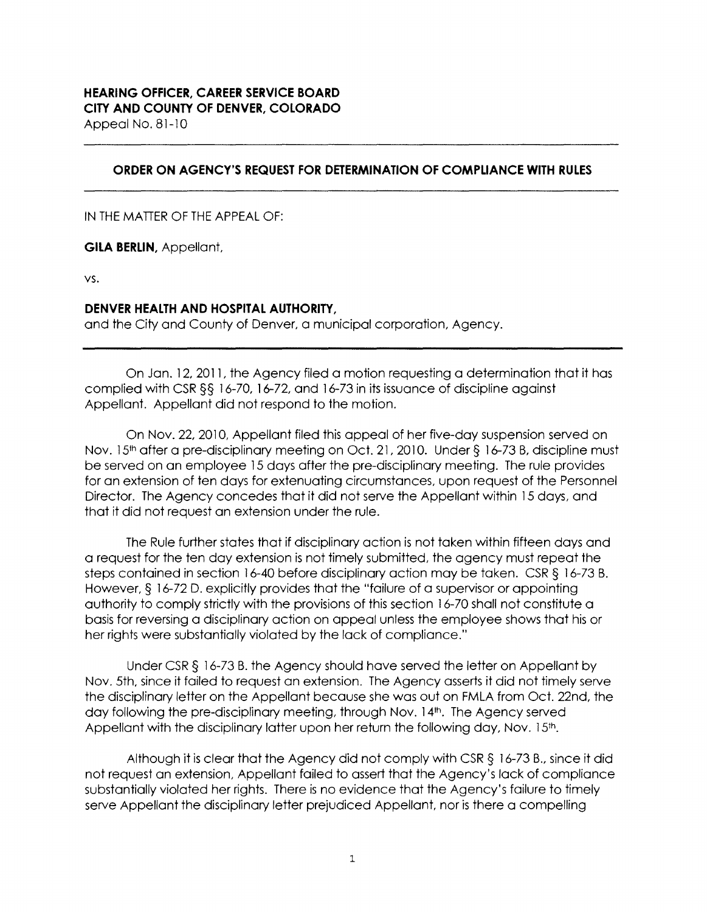## **ORDER ON AGENCY'S REQUEST FOR DETERMINATION OF COMPLIANCE WITH RULES**

IN THE MATTER OF THE APPEAL OF:

**GILA BERLIN,** Appellant,

vs.

## **DENVER HEALTH AND HOSPITAL AUTHORITY,**

and the City and County of Denver, a municipal corporation, Agency.

On Jan. 12, 2011, the Agency filed a motion requesting a determination that it has complied with CSR §§ 16-70, 16-72, and 16-73 in its issuance of discipline against Appellant. Appellant did not respond to the motion.

On Nov. 22,2010, Appellant filed this appeal of her five-day suspension served on Nov. 15<sup>th</sup> after a pre-disciplinary meeting on Oct. 21, 2010. Under § 16-73 B, discipline must be served on an employee 15 days after the pre-disciplinary meeting. The rule provides for an extension of ten days for extenuating circumstances, upon request of the Personnel Director. The Agency concedes that it did not serve the Appellant within 15 days, and that it did not request an extension under the rule.

The Rule further states that if disciplinary action is not taken within fifteen days and a request for the ten day extension is not timely submitted, the agency must repeat the steps contained in section 16-40 before disciplinary action may be taken. CSR § 16-73 B. However, § 16-72 D. explicitly provides that the "failure of a supervisor or appointing authority to comply strictly with the provisions of this section 16-70 shall not constitute a basis for reversing a disciplinary action on appeal unless the employee shows that his or her rights were substantially violated by the lack of compliance."

Under CSR § 16-73 B. the Agency should have served the letter on Appellant by Nov. 5th, since it failed to request an extension. The Agency asserts it did not timely serve the disciplinary letter on the Appellant because she was out on FMLA from Oct. 22nd, the day following the pre-disciplinary meeting, through Nov. 14<sup>th</sup>. The Agency served Appellant with the disciplinary latter upon her return the following day, Nov. 15th.

Although it is clear that the Agency did not comply with CSR § 16-73 B., since it did not request an extension, Appellant failed to assert that the Agency's lack of compliance substantially violated her rights. There is no evidence that the Agency's failure to timely serve Appellant the disciplinary letter prejudiced Appellant, nor is there a compelling